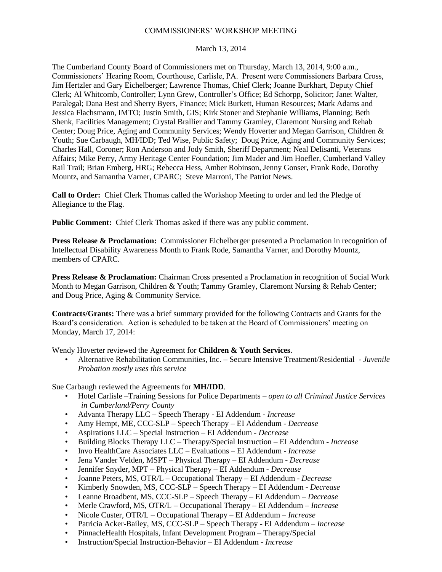## COMMISSIONERS' WORKSHOP MEETING

## March 13, 2014

The Cumberland County Board of Commissioners met on Thursday, March 13, 2014, 9:00 a.m., Commissioners' Hearing Room, Courthouse, Carlisle, PA. Present were Commissioners Barbara Cross, Jim Hertzler and Gary Eichelberger; Lawrence Thomas, Chief Clerk; Joanne Burkhart, Deputy Chief Clerk; Al Whitcomb, Controller; Lynn Grew, Controller's Office; Ed Schorpp, Solicitor; Janet Walter, Paralegal; Dana Best and Sherry Byers, Finance; Mick Burkett, Human Resources; Mark Adams and Jessica Flachsmann, IMTO; Justin Smith, GIS; Kirk Stoner and Stephanie Williams, Planning; Beth Shenk, Facilities Management; Crystal Brallier and Tammy Gramley, Claremont Nursing and Rehab Center; Doug Price, Aging and Community Services; Wendy Hoverter and Megan Garrison, Children & Youth; Sue Carbaugh, MH/IDD; Ted Wise, Public Safety; Doug Price, Aging and Community Services; Charles Hall, Coroner; Ron Anderson and Jody Smith, Sheriff Department; Neal Delisanti, Veterans Affairs; Mike Perry, Army Heritage Center Foundation; Jim Mader and Jim Hoefler, Cumberland Valley Rail Trail; Brian Emberg, HRG; Rebecca Hess, Amber Robinson, Jenny Gonser, Frank Rode, Dorothy Mountz, and Samantha Varner, CPARC; Steve Marroni, The Patriot News.

**Call to Order:** Chief Clerk Thomas called the Workshop Meeting to order and led the Pledge of Allegiance to the Flag.

**Public Comment:** Chief Clerk Thomas asked if there was any public comment.

**Press Release & Proclamation:** Commissioner Eichelberger presented a Proclamation in recognition of Intellectual Disability Awareness Month to Frank Rode, Samantha Varner, and Dorothy Mountz, members of CPARC.

**Press Release & Proclamation:** Chairman Cross presented a Proclamation in recognition of Social Work Month to Megan Garrison, Children & Youth; Tammy Gramley, Claremont Nursing & Rehab Center; and Doug Price, Aging & Community Service.

**Contracts/Grants:** There was a brief summary provided for the following Contracts and Grants for the Board's consideration. Action is scheduled to be taken at the Board of Commissioners' meeting on Monday, March 17, 2014:

Wendy Hoverter reviewed the Agreement for **Children & Youth Services**.

• Alternative Rehabilitation Communities, Inc. – Secure Intensive Treatment/Residential - *Juvenile Probation mostly uses this service*

Sue Carbaugh reviewed the Agreements for **MH/IDD**.

- Hotel Carlisle –Training Sessions for Police Departments *open to all Criminal Justice Services in Cumberland/Perry County*
- Advanta Therapy LLC Speech Therapy EI Addendum *Increase*
- Amy Hempt, ME, CCC-SLP Speech Therapy EI Addendum *Decrease*
- Aspirations LLC Special Instruction EI Addendum *Decrease*
- Building Blocks Therapy LLC Therapy/Special Instruction EI Addendum *Increase*
- Invo HealthCare Associates LLC Evaluations EI Addendum *Increase*
- Jena Vander Velden, MSPT Physical Therapy EI Addendum *Decrease*
- Jennifer Snyder, MPT Physical Therapy EI Addendum *Decrease*
- Joanne Peters, MS, OTR/L Occupational Therapy EI Addendum *Decrease*
- Kimberly Snowden, MS, CCC-SLP Speech Therapy EI Addendum *Decrease*
- Leanne Broadbent, MS, CCC-SLP Speech Therapy EI Addendum *Decrease*
- Merle Crawford, MS, OTR/L Occupational Therapy EI Addendum *Increase*
- Nicole Custer, OTR/L Occupational Therapy EI Addendum *– Increase*
- Patricia Acker-Bailey, MS, CCC-SLP Speech Therapy EI Addendum *Increase*
- PinnacleHealth Hospitals, Infant Development Program Therapy/Special
- Instruction/Special Instruction-Behavior EI Addendum *Increase*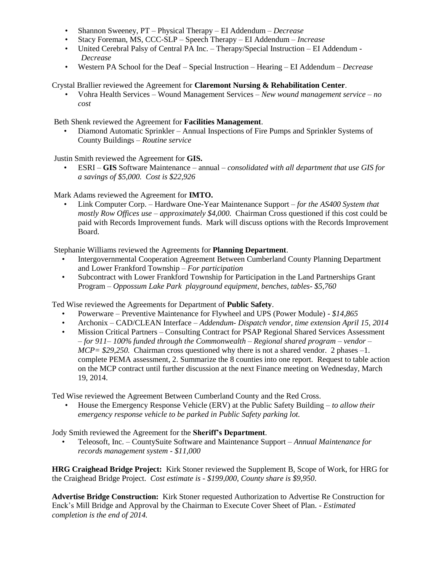- Shannon Sweeney, PT Physical Therapy EI Addendum *Decrease*
- Stacy Foreman, MS, CCC-SLP Speech Therapy EI Addendum *Increase*
- United Cerebral Palsy of Central PA Inc. Therapy/Special Instruction EI Addendum *Decrease*
- Western PA School for the Deaf Special Instruction Hearing EI Addendum *Decrease*

Crystal Brallier reviewed the Agreement for **Claremont Nursing & Rehabilitation Center**.

• Vohra Health Services – Wound Management Services – *New wound management service – no cost* 

Beth Shenk reviewed the Agreement for **Facilities Management**.

 • Diamond Automatic Sprinkler – Annual Inspections of Fire Pumps and Sprinkler Systems of County Buildings – *Routine service*

Justin Smith reviewed the Agreement for **GIS.**

 • ESRI – **GIS** Software Maintenance – annual – *consolidated with all department that use GIS for a savings of \$5,000. Cost is \$22,926*

Mark Adams reviewed the Agreement for **IMTO.**

 • Link Computer Corp. – Hardware One-Year Maintenance Support – *for the AS400 System that mostly Row Offices use – approximately \$4,000.* Chairman Cross questioned if this cost could be paid with Records Improvement funds. Mark will discuss options with the Records Improvement Board.

Stephanie Williams reviewed the Agreements for **Planning Department**.

- Intergovernmental Cooperation Agreement Between Cumberland County Planning Department and Lower Frankford Township – *For participation*
- Subcontract with Lower Frankford Township for Participation in the Land Partnerships Grant Program – *Oppossum Lake Park playground equipment, benches, tables- \$5,760*

Ted Wise reviewed the Agreements for Department of **Public Safety**.

- Powerware Preventive Maintenance for Flywheel and UPS (Power Module) *\$14,865*
- Archonix CAD/CLEAN Interface *Addendum- Dispatch vendor, time extension April 15, 2014*
- Mission Critical Partners Consulting Contract for PSAP Regional Shared Services Assessment – *for 911– 100% funded through the Commonwealth – Regional shared program – vendor – MCP= \$29,250.* Chairman cross questioned why there is not a shared vendor. 2 phases –1. complete PEMA assessment, 2. Summarize the 8 counties into one report. Request to table action on the MCP contract until further discussion at the next Finance meeting on Wednesday, March 19, 2014.

Ted Wise reviewed the Agreement Between Cumberland County and the Red Cross.

• House the Emergency Response Vehicle (ERV) at the Public Safety Building – *to allow their emergency response vehicle to be parked in Public Safety parking lot.*

Jody Smith reviewed the Agreement for the **Sheriff's Department**.

 • Teleosoft, Inc. – CountySuite Software and Maintenance Support – *Annual Maintenance for records management system - \$11,000*

**HRG Craighead Bridge Project:** Kirk Stoner reviewed the Supplement B, Scope of Work, for HRG for the Craighead Bridge Project. *Cost estimate is - \$199,000, County share is \$9,950*.

**Advertise Bridge Construction:** Kirk Stoner requested Authorization to Advertise Re Construction for Enck's Mill Bridge and Approval by the Chairman to Execute Cover Sheet of Plan. - *Estimated completion is the end of 2014.*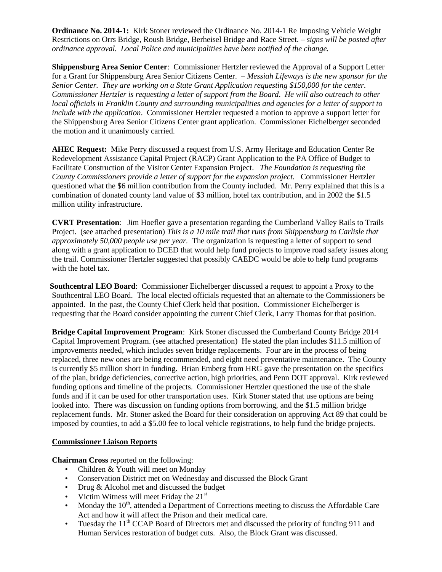**Ordinance No. 2014-1:** Kirk Stoner reviewed the Ordinance No. 2014-1 Re Imposing Vehicle Weight Restrictions on Orrs Bridge, Roush Bridge, Berheisel Bridge and Race Street. – *signs will be posted after ordinance approval. Local Police and municipalities have been notified of the change.*

**Shippensburg Area Senior Center**: Commissioner Hertzler reviewed the Approval of a Support Letter for a Grant for Shippensburg Area Senior Citizens Center. – *Messiah Lifeways is the new sponsor for the Senior Center. They are working on a State Grant Application requesting \$150,000 for the center. Commissioner Hertzler is requesting a letter of support from the Board*. *He will also outreach to other local officials in Franklin County and surrounding municipalities and agencies for a letter of support to include with the application*. Commissioner Hertzler requested a motion to approve a support letter for the Shippensburg Area Senior Citizens Center grant application. Commissioner Eichelberger seconded the motion and it unanimously carried.

 **AHEC Request:** Mike Perry discussed a request from U.S. Army Heritage and Education Center Re Redevelopment Assistance Capital Project (RACP) Grant Application to the PA Office of Budget to Facilitate Construction of the Visitor Center Expansion Project. *The Foundation is requesting the County Commissioners provide a letter of support for the expansion project.* Commissioner Hertzler questioned what the \$6 million contribution from the County included. Mr. Perry explained that this is a combination of donated county land value of \$3 million, hotel tax contribution, and in 2002 the \$1.5 million utility infrastructure.

 **CVRT Presentation**: Jim Hoefler gave a presentation regarding the Cumberland Valley Rails to Trails Project. (see attached presentation) *This is a 10 mile trail that runs from Shippensburg to Carlisle that approximately 50,000 people use per year.* The organization is requesting a letter of support to send along with a grant application to DCED that would help fund projects to improve road safety issues along the trail. Commissioner Hertzler suggested that possibly CAEDC would be able to help fund programs with the hotel tax.

 **Southcentral LEO Board**: Commissioner Eichelberger discussed a request to appoint a Proxy to the Southcentral LEO Board. The local elected officials requested that an alternate to the Commissioners be appointed. In the past, the County Chief Clerk held that position. Commissioner Eichelberger is requesting that the Board consider appointing the current Chief Clerk, Larry Thomas for that position.

**Bridge Capital Improvement Program**: Kirk Stoner discussed the Cumberland County Bridge 2014 Capital Improvement Program. (see attached presentation) He stated the plan includes \$11.5 million of improvements needed, which includes seven bridge replacements. Four are in the process of being replaced, three new ones are being recommended, and eight need preventative maintenance. The County is currently \$5 million short in funding. Brian Emberg from HRG gave the presentation on the specifics of the plan, bridge deficiencies, corrective action, high priorities, and Penn DOT approval. Kirk reviewed funding options and timeline of the projects. Commissioner Hertzler questioned the use of the shale funds and if it can be used for other transportation uses. Kirk Stoner stated that use options are being looked into. There was discussion on funding options from borrowing, and the \$1.5 million bridge replacement funds. Mr. Stoner asked the Board for their consideration on approving Act 89 that could be imposed by counties, to add a \$5.00 fee to local vehicle registrations, to help fund the bridge projects.

## **Commissioner Liaison Reports**

**Chairman Cross** reported on the following:

- Children & Youth will meet on Monday
- Conservation District met on Wednesday and discussed the Block Grant
- Drug & Alcohol met and discussed the budget
- Victim Witness will meet Friday the 21<sup>st</sup>
- Monday the  $10<sup>th</sup>$ , attended a Department of Corrections meeting to discuss the Affordable Care Act and how it will affect the Prison and their medical care.
- Tuesday the  $11<sup>th</sup> CCAP$  Board of Directors met and discussed the priority of funding 911 and Human Services restoration of budget cuts. Also, the Block Grant was discussed.